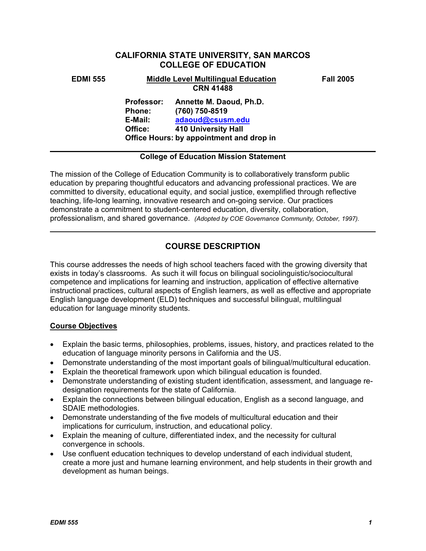# **CALIFORNIA STATE UNIVERSITY, SAN MARCOS COLLEGE OF EDUCATION**

#### **EDMI 555 Middle Level Multilingual Education Fall 2005 CRN 41488**

**Professor: Annette M. Daoud, Ph.D. Phone: (760) 750-8519 E-Mail: adaoud@csusm.edu Office: 410 University Hall Office Hours: by appointment and drop in** 

### **College of Education Mission Statement**

The mission of the College of Education Community is to collaboratively transform public education by preparing thoughtful educators and advancing professional practices. We are committed to diversity, educational equity, and social justice, exemplified through reflective teaching, life-long learning, innovative research and on-going service. Our practices demonstrate a commitment to student-centered education, diversity, collaboration, professionalism, and shared governance. *(Adopted by COE Governance Community, October, 1997).* 

# **COURSE DESCRIPTION**

This course addresses the needs of high school teachers faced with the growing diversity that exists in today's classrooms. As such it will focus on bilingual sociolinguistic/sociocultural competence and implications for learning and instruction, application of effective alternative instructional practices, cultural aspects of English learners, as well as effective and appropriate English language development (ELD) techniques and successful bilingual, multilingual education for language minority students.

## **Course Objectives**

- Explain the basic terms, philosophies, problems, issues, history, and practices related to the education of language minority persons in California and the US.
- Demonstrate understanding of the most important goals of bilingual/multicultural education.
- Explain the theoretical framework upon which bilingual education is founded.
- Demonstrate understanding of existing student identification, assessment, and language redesignation requirements for the state of California.
- Explain the connections between bilingual education, English as a second language, and SDAIE methodologies.
- Demonstrate understanding of the five models of multicultural education and their implications for curriculum, instruction, and educational policy.
- Explain the meaning of culture, differentiated index, and the necessity for cultural convergence in schools.
- Use confluent education techniques to develop understand of each individual student, create a more just and humane learning environment, and help students in their growth and development as human beings.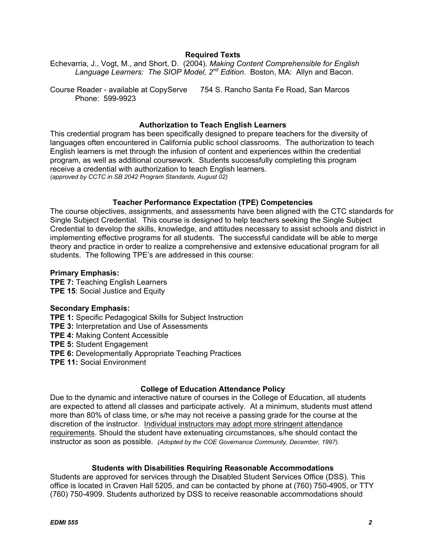### **Required Texts**

Echevarria, J., Vogt, M., and Short, D. (2004). *Making Content Comprehensible for English Language Learners: The SIOP Model, 2nd Edition*. Boston, MA: Allyn and Bacon.

Course Reader - available at CopyServe 754 S. Rancho Santa Fe Road, San Marcos Phone: 599-9923

#### **Authorization to Teach English Learners**

This credential program has been specifically designed to prepare teachers for the diversity of languages often encountered in California public school classrooms. The authorization to teach English learners is met through the infusion of content and experiences within the credential program, as well as additional coursework. Students successfully completing this program receive a credential with authorization to teach English learners. *(approved by CCTC in SB 2042 Program Standards, August 02)*

#### **Teacher Performance Expectation (TPE) Competencies**

The course objectives, assignments, and assessments have been aligned with the CTC standards for Single Subject Credential. This course is designed to help teachers seeking the Single Subject Credential to develop the skills, knowledge, and attitudes necessary to assist schools and district in implementing effective programs for all students. The successful candidate will be able to merge theory and practice in order to realize a comprehensive and extensive educational program for all students. The following TPE's are addressed in this course:

#### **Primary Emphasis:**

**TPE 7: Teaching English Learners TPE 15**: Social Justice and Equity

#### **Secondary Emphasis:**

**TPE 1:** Specific Pedagogical Skills for Subject Instruction **TPE 3:** Interpretation and Use of Assessments **TPE 4:** Making Content Accessible **TPE 5:** Student Engagement **TPE 6:** Developmentally Appropriate Teaching Practices **TPE 11:** Social Environment

#### **College of Education Attendance Policy**

Due to the dynamic and interactive nature of courses in the College of Education, all students are expected to attend all classes and participate actively. At a minimum, students must attend more than 80% of class time, or s/he may not receive a passing grade for the course at the discretion of the instructor. Individual instructors may adopt more stringent attendance requirements. Should the student have extenuating circumstances, s/he should contact the instructor as soon as possible. *(Adopted by the COE Governance Community, December, 1997).*

#### **Students with Disabilities Requiring Reasonable Accommodations**

Students are approved for services through the Disabled Student Services Office (DSS). This office is located in Craven Hall 5205, and can be contacted by phone at (760) 750-4905, or TTY (760) 750-4909. Students authorized by DSS to receive reasonable accommodations should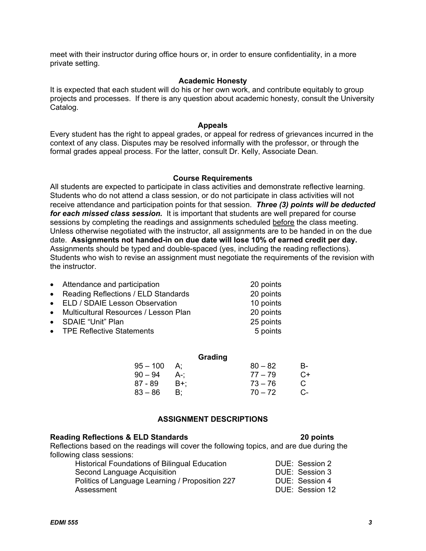meet with their instructor during office hours or, in order to ensure confidentiality, in a more private setting.

### **Academic Honesty**

It is expected that each student will do his or her own work, and contribute equitably to group projects and processes. If there is any question about academic honesty, consult the University Catalog.

#### **Appeals**

Every student has the right to appeal grades, or appeal for redress of grievances incurred in the context of any class. Disputes may be resolved informally with the professor, or through the formal grades appeal process. For the latter, consult Dr. Kelly, Associate Dean.

#### **Course Requirements**

All students are expected to participate in class activities and demonstrate reflective learning. Students who do not attend a class session, or do not participate in class activities will not receive attendance and participation points for that session. *Three (3) points will be deducted for each missed class session.* It is important that students are well prepared for course sessions by completing the readings and assignments scheduled before the class meeting. Unless otherwise negotiated with the instructor, all assignments are to be handed in on the due date. **Assignments not handed-in on due date will lose 10% of earned credit per day.** Assignments should be typed and double-spaced (yes, including the reading reflections). Students who wish to revise an assignment must negotiate the requirements of the revision with the instructor.

| • Attendance and participation          | 20 points |
|-----------------------------------------|-----------|
| • Reading Reflections / ELD Standards   | 20 points |
| • ELD / SDAIE Lesson Observation        | 10 points |
| • Multicultural Resources / Lesson Plan | 20 points |
| • SDAIE "Unit" Plan                     | 25 points |
| • TPE Reflective Statements             | 5 points  |
|                                         |           |

|            |             | Grading   |    |
|------------|-------------|-----------|----|
| $95 - 100$ | $A^{\cdot}$ | $80 - 82$ | B- |
| $90 - 94$  | A-:         | $77 - 79$ | C+ |
| 87 - 89    | B+:         | $73 - 76$ | C  |
| $83 - 86$  |             | $70 - 72$ | C- |

### **ASSIGNMENT DESCRIPTIONS**

### **Reading Reflections & ELD Standards 20 points**

Reflections based on the readings will cover the following topics, and are due during the following class sessions:

| <b>Historical Foundations of Bilingual Education</b> | DUE: Session 2  |
|------------------------------------------------------|-----------------|
| Second Language Acquisition                          | DUE: Session 3  |
| Politics of Language Learning / Proposition 227      | DUE: Session 4  |
| Assessment                                           | DUE: Session 12 |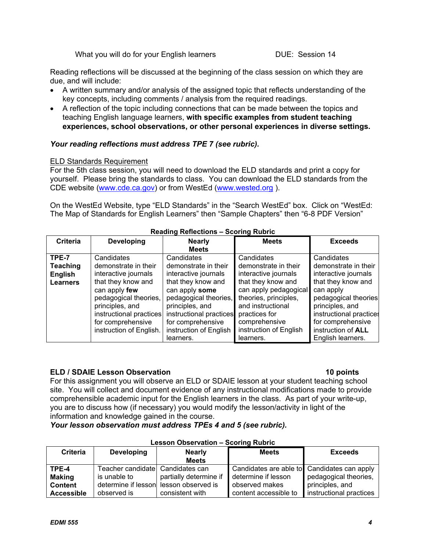What you will do for your English learners The Mullet Session 14

Reading reflections will be discussed at the beginning of the class session on which they are due, and will include:

- A written summary and/or analysis of the assigned topic that reflects understanding of the key concepts, including comments / analysis from the required readings.
- A reflection of the topic including connections that can be made between the topics and teaching English language learners, **with specific examples from student teaching experiences, school observations, or other personal experiences in diverse settings.**

## *Your reading reflections must address TPE 7 (see rubric).*

#### ELD Standards Requirement

For the 5th class session, you will need to download the ELD standards and print a copy for yourself. Please bring the standards to class. You can download the ELD standards from the CDE website (www.cde.ca.gov) or from WestEd (www.wested.org ).

On the WestEd Website, type "ELD Standards" in the "Search WestEd" box. Click on "WestEd: The Map of Standards for English Learners" then "Sample Chapters" then "6-8 PDF Version"

| <b>Criteria</b> | <b>Developing</b>       | <b>Nearly</b>           | <b>Meets</b>           | <b>Exceeds</b>          |
|-----------------|-------------------------|-------------------------|------------------------|-------------------------|
|                 |                         | <b>Meets</b>            |                        |                         |
| TPE-7           | Candidates              | Candidates              | Candidates             | Candidates              |
| <b>Teaching</b> | demonstrate in their    | demonstrate in their    | demonstrate in their   | demonstrate in their    |
| <b>English</b>  | interactive journals    | interactive journals    | interactive journals   | interactive journals    |
| <b>Learners</b> | that they know and      | that they know and      | that they know and     | that they know and      |
|                 | can apply few           | can apply some          | can apply pedagogical  | can apply               |
|                 | pedagogical theories,   | pedagogical theories,   | theories, principles,  | pedagogical theories    |
|                 | principles, and         | principles, and         | and instructional      | principles, and         |
|                 | instructional practices | instructional practices | practices for          | instructional practices |
|                 | for comprehensive       | for comprehensive       | comprehensive          | for comprehensive       |
|                 | instruction of English. | instruction of English  | instruction of English | instruction of ALL      |
|                 |                         | learners.               | learners.              | English learners.       |

### **Reading Reflections – Scoring Rubric**

## **ELD / SDAIE Lesson Observation 10 points 10 points 10 points**

For this assignment you will observe an ELD or SDAIE lesson at your student teaching school site. You will collect and document evidence of any instructional modifications made to provide comprehensible academic input for the English learners in the class. As part of your write-up, you are to discuss how (if necessary) you would modify the lesson/activity in light of the information and knowledge gained in the course.

*Your lesson observation must address TPEs 4 and 5 (see rubric).* 

|                   | Lesson Observation – Scoring Rubric |                                        |                                             |                         |  |
|-------------------|-------------------------------------|----------------------------------------|---------------------------------------------|-------------------------|--|
| <b>Criteria</b>   | <b>Developing</b>                   | <b>Nearly</b>                          | <b>Meets</b>                                | <b>Exceeds</b>          |  |
|                   |                                     | <b>Meets</b>                           |                                             |                         |  |
| TPE-4             | Teacher candidate Candidates can    |                                        | Candidates are able to Candidates can apply |                         |  |
| <b>Making</b>     | is unable to                        | partially determine if                 | determine if lesson                         | pedagogical theories,   |  |
| <b>Content</b>    |                                     | determine if lesson lesson observed is | observed makes                              | principles, and         |  |
| <b>Accessible</b> | observed is                         | consistent with                        | content accessible to                       | instructional practices |  |

# **Lesson Observation – Scoring Rubric**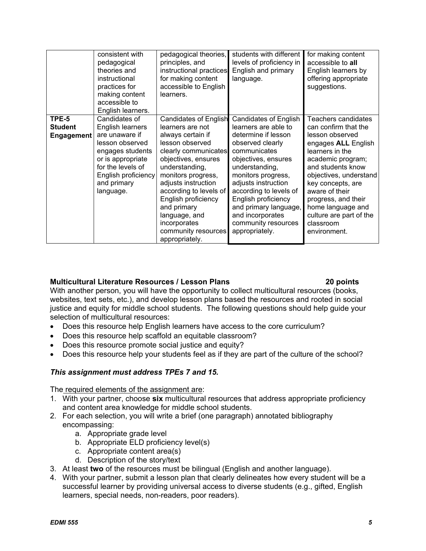|                                              | consistent with<br>pedagogical<br>theories and<br>instructional<br>practices for<br>making content<br>accessible to<br>English learners.                                                | pedagogical theories,<br>principles, and<br>instructional practices<br>for making content<br>accessible to English<br>learners.                                                                                                                                                                                                                  | students with different<br>levels of proficiency in<br>English and primary<br>language.                                                                                                                                                                                                                                                      | for making content<br>accessible to all<br>English learners by<br>offering appropriate<br>suggestions.                                                                                                                                                                                                                  |
|----------------------------------------------|-----------------------------------------------------------------------------------------------------------------------------------------------------------------------------------------|--------------------------------------------------------------------------------------------------------------------------------------------------------------------------------------------------------------------------------------------------------------------------------------------------------------------------------------------------|----------------------------------------------------------------------------------------------------------------------------------------------------------------------------------------------------------------------------------------------------------------------------------------------------------------------------------------------|-------------------------------------------------------------------------------------------------------------------------------------------------------------------------------------------------------------------------------------------------------------------------------------------------------------------------|
| TPE-5<br><b>Student</b><br><b>Engagement</b> | Candidates of<br>English learners<br>are unaware if<br>lesson observed<br>engages students<br>or is appropriate<br>for the levels of<br>English proficiency<br>and primary<br>language. | <b>Candidates of English</b><br>learners are not<br>always certain if<br>lesson observed<br>clearly communicates<br>objectives, ensures<br>understanding,<br>monitors progress,<br>adjusts instruction<br>according to levels of<br>English proficiency<br>and primary<br>language, and<br>incorporates<br>community resources<br>appropriately. | <b>Candidates of English</b><br>learners are able to<br>determine if lesson<br>observed clearly<br>communicates<br>objectives, ensures<br>understanding,<br>monitors progress,<br>adjusts instruction<br>according to levels of<br>English proficiency<br>and primary language,<br>and incorporates<br>community resources<br>appropriately. | Teachers candidates<br>can confirm that the<br>lesson observed<br>engages ALL English<br>learners in the<br>academic program;<br>and students know<br>objectives, understand<br>key concepts, are<br>aware of their<br>progress, and their<br>home language and<br>culture are part of the<br>classroom<br>environment. |

## **Multicultural Literature Resources / Lesson Plans 20 points**

With another person, you will have the opportunity to collect multicultural resources (books, websites, text sets, etc.), and develop lesson plans based the resources and rooted in social justice and equity for middle school students. The following questions should help guide your selection of multicultural resources:

- Does this resource help English learners have access to the core curriculum?
- Does this resource help scaffold an equitable classroom?
- Does this resource promote social justice and equity?
- Does this resource help your students feel as if they are part of the culture of the school?

# *This assignment must address TPEs 7 and 15.*

The required elements of the assignment are:

- 1. With your partner, choose **six** multicultural resources that address appropriate proficiency and content area knowledge for middle school students.
- 2. For each selection, you will write a brief (one paragraph) annotated bibliography encompassing:
	- a. Appropriate grade level
	- b. Appropriate ELD proficiency level(s)
	- c. Appropriate content area(s)
	- d. Description of the story/text
- 3. At least **two** of the resources must be bilingual (English and another language).
- 4. With your partner, submit a lesson plan that clearly delineates how every student will be a successful learner by providing universal access to diverse students (e.g., gifted, English learners, special needs, non-readers, poor readers).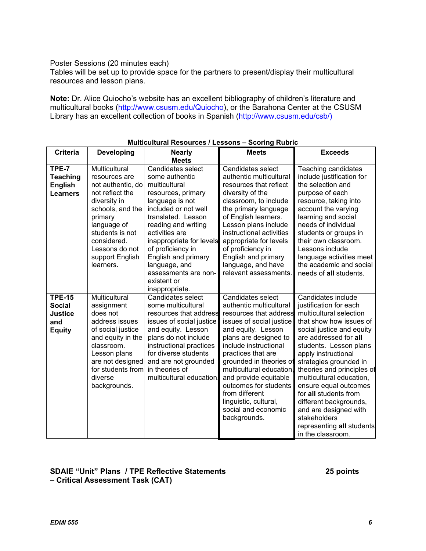### Poster Sessions (20 minutes each)

Tables will be set up to provide space for the partners to present/display their multicultural resources and lesson plans.

**Note:** Dr. Alice Quiocho's website has an excellent bibliography of children's literature and multicultural books (http://www.csusm.edu/Quiocho), or the Barahona Center at the CSUSM Library has an excellent collection of books in Spanish (http://www.csusm.edu/csb/)

| <b>Criteria</b>                                                          | <b>Developing</b>                                                                                                                                                                                                        | <b>Nearly</b>                                                                                                                                                                                                                                                                                                                          | <b>Meets</b>                                                                                                                                                                                                                                                                                                                                                                               | <b>Exceeds</b>                                                                                                                                                                                                                                                                                                                                                                                                                                                       |
|--------------------------------------------------------------------------|--------------------------------------------------------------------------------------------------------------------------------------------------------------------------------------------------------------------------|----------------------------------------------------------------------------------------------------------------------------------------------------------------------------------------------------------------------------------------------------------------------------------------------------------------------------------------|--------------------------------------------------------------------------------------------------------------------------------------------------------------------------------------------------------------------------------------------------------------------------------------------------------------------------------------------------------------------------------------------|----------------------------------------------------------------------------------------------------------------------------------------------------------------------------------------------------------------------------------------------------------------------------------------------------------------------------------------------------------------------------------------------------------------------------------------------------------------------|
|                                                                          |                                                                                                                                                                                                                          | <b>Meets</b>                                                                                                                                                                                                                                                                                                                           |                                                                                                                                                                                                                                                                                                                                                                                            |                                                                                                                                                                                                                                                                                                                                                                                                                                                                      |
| TPE-7<br><b>Teaching</b><br><b>English</b><br><b>Learners</b>            | Multicultural<br>resources are<br>not authentic, do<br>not reflect the<br>diversity in<br>schools, and the<br>primary<br>language of<br>students is not<br>considered.<br>Lessons do not<br>support English<br>learners. | Candidates select<br>some authentic<br>multicultural<br>resources, primary<br>language is not<br>included or not well<br>translated. Lesson<br>reading and writing<br>activities are<br>inappropriate for levels<br>of proficiency in<br>English and primary<br>language, and<br>assessments are non-<br>existent or<br>inappropriate. | Candidates select<br>authentic multicultural<br>resources that reflect<br>diversity of the<br>classroom, to include<br>the primary language<br>of English learners.<br>Lesson plans include<br>instructional activities<br>appropriate for levels<br>of proficiency in<br>English and primary<br>language, and have<br>relevant assessments.                                               | Teaching candidates<br>include justification for<br>the selection and<br>purpose of each<br>resource, taking into<br>account the varying<br>learning and social<br>needs of individual<br>students or groups in<br>their own classroom.<br>Lessons include<br>language activities meet<br>the academic and social<br>needs of all students.                                                                                                                          |
| <b>TPE-15</b><br><b>Social</b><br><b>Justice</b><br>and<br><b>Equity</b> | Multicultural<br>assignment<br>does not<br>address issues<br>of social justice<br>and equity in the<br>classroom.<br>Lesson plans<br>are not designed<br>for students from<br>diverse<br>backgrounds.                    | Candidates select<br>some multicultural<br>resources that address<br>issues of social justice<br>and equity. Lesson<br>plans do not include<br>instructional practices<br>for diverse students<br>and are not grounded<br>in theories of<br>multicultural education.                                                                   | Candidates select<br>authentic multicultural<br>resources that address<br>issues of social justice<br>and equity. Lesson<br>plans are designed to<br>include instructional<br>practices that are<br>grounded in theories of<br>multicultural education<br>and provide equitable<br>outcomes for students<br>from different<br>linguistic, cultural,<br>social and economic<br>backgrounds. | Candidates include<br>justification for each<br>multicultural selection<br>that show how issues of<br>social justice and equity<br>are addressed for all<br>students. Lesson plans<br>apply instructional<br>strategies grounded in<br>theories and principles of<br>multicultural education,<br>ensure equal outcomes<br>for all students from<br>different backgrounds,<br>and are designed with<br>stakeholders<br>representing all students<br>in the classroom. |

### **Multicultural Resources / Lessons – Scoring Rubric**

# **SDAIE "Unit" Plans / TPE Reflective Statements 25 points – Critical Assessment Task (CAT)**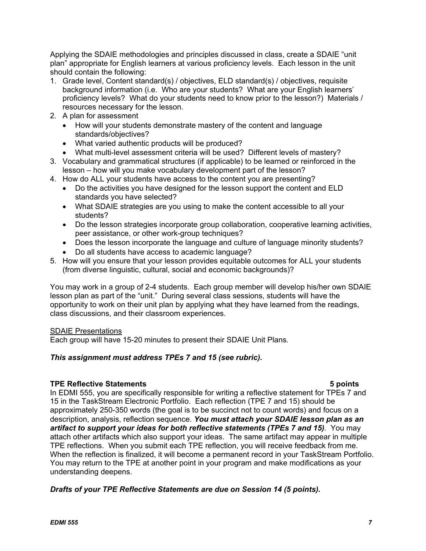Applying the SDAIE methodologies and principles discussed in class, create a SDAIE "unit plan" appropriate for English learners at various proficiency levels. Each lesson in the unit should contain the following:

- 1. Grade level, Content standard(s) / objectives, ELD standard(s) / objectives, requisite background information (i.e. Who are your students? What are your English learners' proficiency levels? What do your students need to know prior to the lesson?) Materials / resources necessary for the lesson.
- 2. A plan for assessment
	- How will your students demonstrate mastery of the content and language standards/objectives?
	- What varied authentic products will be produced?
	- What multi-level assessment criteria will be used? Different levels of mastery?
- 3. Vocabulary and grammatical structures (if applicable) to be learned or reinforced in the lesson – how will you make vocabulary development part of the lesson?
- 4. How do ALL your students have access to the content you are presenting?
	- Do the activities you have designed for the lesson support the content and ELD standards you have selected?
	- What SDAIE strategies are you using to make the content accessible to all your students?
	- Do the lesson strategies incorporate group collaboration, cooperative learning activities, peer assistance, or other work-group techniques?
	- Does the lesson incorporate the language and culture of language minority students?
	- Do all students have access to academic language?
- 5. How will you ensure that your lesson provides equitable outcomes for ALL your students (from diverse linguistic, cultural, social and economic backgrounds)?

You may work in a group of 2-4 students. Each group member will develop his/her own SDAIE lesson plan as part of the "unit." During several class sessions, students will have the opportunity to work on their unit plan by applying what they have learned from the readings, class discussions, and their classroom experiences.

## SDAIE Presentations

Each group will have 15-20 minutes to present their SDAIE Unit Plans*.*

## *This assignment must address TPEs 7 and 15 (see rubric).*

#### **TPE Reflective Statements 5 points**

In EDMI 555, you are specifically responsible for writing a reflective statement for TPEs 7 and 15 in the TaskStream Electronic Portfolio. Each reflection (TPE 7 and 15) should be approximately 250-350 words (the goal is to be succinct not to count words) and focus on a description, analysis, reflection sequence. *You must attach your SDAIE lesson plan as an artifact to support your ideas for both reflective statements (TPEs 7 and 15)*. You may attach other artifacts which also support your ideas. The same artifact may appear in multiple TPE reflections. When you submit each TPE reflection, you will receive feedback from me. When the reflection is finalized, it will become a permanent record in your TaskStream Portfolio. You may return to the TPE at another point in your program and make modifications as your understanding deepens.

## *Drafts of your TPE Reflective Statements are due on Session 14 (5 points).*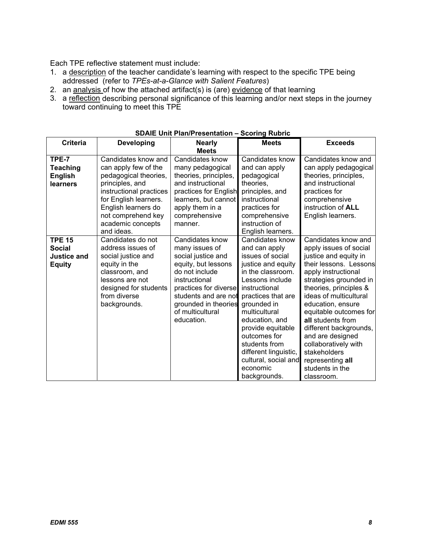Each TPE reflective statement must include:

- 1. a description of the teacher candidate's learning with respect to the specific TPE being addressed (refer to *TPEs-at-a-Glance with Salient Features*)
- 2. an analysis of how the attached artifact(s) is (are) evidence of that learning
- 3. a reflection describing personal significance of this learning and/or next steps in the journey toward continuing to meet this TPE

| <b>Criteria</b>                                                       | <b>Developing</b>                                                                                                                                                                                                           | <b>Nearly</b>                                                                                                                                                                                                                | <b>Meets</b>                                                                                                                                                                                                                                                                                                                                   | <b>Exceeds</b>                                                                                                                                                                                                                                                                                                                                                                                                       |
|-----------------------------------------------------------------------|-----------------------------------------------------------------------------------------------------------------------------------------------------------------------------------------------------------------------------|------------------------------------------------------------------------------------------------------------------------------------------------------------------------------------------------------------------------------|------------------------------------------------------------------------------------------------------------------------------------------------------------------------------------------------------------------------------------------------------------------------------------------------------------------------------------------------|----------------------------------------------------------------------------------------------------------------------------------------------------------------------------------------------------------------------------------------------------------------------------------------------------------------------------------------------------------------------------------------------------------------------|
|                                                                       |                                                                                                                                                                                                                             | <b>Meets</b>                                                                                                                                                                                                                 |                                                                                                                                                                                                                                                                                                                                                |                                                                                                                                                                                                                                                                                                                                                                                                                      |
| TPE-7<br><b>Teaching</b><br><b>English</b><br>learners                | Candidates know and<br>can apply few of the<br>pedagogical theories,<br>principles, and<br>instructional practices<br>for English learners.<br>English learners do<br>not comprehend key<br>academic concepts<br>and ideas. | Candidates know<br>many pedagogical<br>theories, principles,<br>and instructional<br>practices for English<br>learners, but cannot<br>apply them in a<br>comprehensive<br>manner.                                            | Candidates know<br>and can apply<br>pedagogical<br>theories,<br>principles, and<br>instructional<br>practices for<br>comprehensive<br>instruction of<br>English learners.                                                                                                                                                                      | Candidates know and<br>can apply pedagogical<br>theories, principles,<br>and instructional<br>practices for<br>comprehensive<br>instruction of <b>ALL</b><br>English learners.                                                                                                                                                                                                                                       |
| <b>TPE 15</b><br><b>Social</b><br><b>Justice and</b><br><b>Equity</b> | Candidates do not<br>address issues of<br>social justice and<br>equity in the<br>classroom, and<br>lessons are not<br>designed for students<br>from diverse<br>backgrounds.                                                 | Candidates know<br>many issues of<br>social justice and<br>equity, but lessons<br>do not include<br>instructional<br>practices for diverse<br>students and are not<br>grounded in theories<br>of multicultural<br>education. | Candidates know<br>and can apply<br>issues of social<br>justice and equity<br>in the classroom.<br>Lessons include<br>instructional<br>practices that are<br>grounded in<br>multicultural<br>education, and<br>provide equitable<br>outcomes for<br>students from<br>different linguistic,<br>cultural, social and<br>economic<br>backgrounds. | Candidates know and<br>apply issues of social<br>justice and equity in<br>their lessons. Lessons<br>apply instructional<br>strategies grounded in<br>theories, principles &<br>ideas of multicultural<br>education, ensure<br>equitable outcomes for<br>all students from<br>different backgrounds,<br>and are designed<br>collaboratively with<br>stakeholders<br>representing all<br>students in the<br>classroom. |

**SDAIE Unit Plan/Presentation – Scoring Rubric**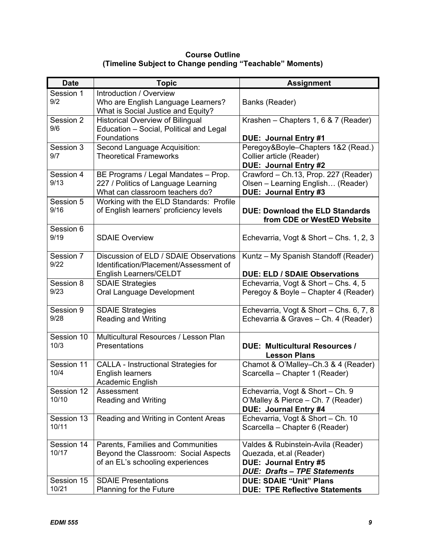### **Course Outline (Timeline Subject to Change pending "Teachable" Moments)**

| <b>Date</b>         | <b>Topic</b>                                                                                                   | <b>Assignment</b>                                                                                                                    |
|---------------------|----------------------------------------------------------------------------------------------------------------|--------------------------------------------------------------------------------------------------------------------------------------|
| Session 1<br>9/2    | Introduction / Overview<br>Who are English Language Learners?<br>What is Social Justice and Equity?            | Banks (Reader)                                                                                                                       |
| Session 2<br>9/6    | <b>Historical Overview of Bilingual</b><br>Education - Social, Political and Legal<br>Foundations              | Krashen - Chapters 1, 6 & 7 (Reader)<br>DUE: Journal Entry #1                                                                        |
| Session 3<br>9/7    | Second Language Acquisition:<br><b>Theoretical Frameworks</b>                                                  | Peregoy&Boyle-Chapters 1&2 (Read.)<br>Collier article (Reader)<br><b>DUE: Journal Entry #2</b>                                       |
| Session 4<br>9/13   | BE Programs / Legal Mandates - Prop.<br>227 / Politics of Language Learning<br>What can classroom teachers do? | Crawford - Ch.13, Prop. 227 (Reader)<br>Olsen - Learning English (Reader)<br>DUE: Journal Entry #3                                   |
| Session 5<br>9/16   | Working with the ELD Standards: Profile<br>of English learners' proficiency levels                             | <b>DUE: Download the ELD Standards</b><br>from CDE or WestED Website                                                                 |
| Session 6<br>9/19   | <b>SDAIE Overview</b>                                                                                          | Echevarria, Vogt & Short – Chs. 1, 2, 3                                                                                              |
| Session 7<br>9/22   | Discussion of ELD / SDAIE Observations<br>Identification/Placement/Assessment of<br>English Learners/CELDT     | Kuntz - My Spanish Standoff (Reader)<br><b>DUE: ELD / SDAIE Observations</b>                                                         |
| Session 8<br>9/23   | <b>SDAIE Strategies</b><br>Oral Language Development                                                           | Echevarria, Vogt & Short - Chs. 4, 5<br>Peregoy & Boyle - Chapter 4 (Reader)                                                         |
| Session 9<br>9/28   | <b>SDAIE Strategies</b><br><b>Reading and Writing</b>                                                          | Echevarria, Vogt & Short - Chs. 6, 7, 8<br>Echevarria & Graves - Ch. 4 (Reader)                                                      |
| Session 10<br>10/3  | Multicultural Resources / Lesson Plan<br>Presentations                                                         | <b>DUE: Multicultural Resources /</b><br><b>Lesson Plans</b>                                                                         |
| Session 11<br>10/4  | <b>CALLA - Instructional Strategies for</b><br><b>English learners</b><br>Academic English                     | Chamot & O'Malley-Ch.3 & 4 (Reader)<br>Scarcella - Chapter 1 (Reader)                                                                |
| Session 12<br>10/10 | Assessment<br>Reading and Writing                                                                              | Echevarria, Vogt & Short - Ch. 9<br>O'Malley & Pierce - Ch. 7 (Reader)<br>DUE: Journal Entry #4                                      |
| Session 13<br>10/11 | Reading and Writing in Content Areas                                                                           | Echevarria, Vogt & Short - Ch. 10<br>Scarcella - Chapter 6 (Reader)                                                                  |
| Session 14<br>10/17 | Parents, Families and Communities<br>Beyond the Classroom: Social Aspects<br>of an EL's schooling experiences  | Valdes & Rubinstein-Avila (Reader)<br>Quezada, et.al (Reader)<br><b>DUE: Journal Entry #5</b><br><b>DUE: Drafts - TPE Statements</b> |
| Session 15<br>10/21 | <b>SDAIE Presentations</b><br>Planning for the Future                                                          | <b>DUE: SDAIE "Unit" Plans</b><br><b>DUE: TPE Reflective Statements</b>                                                              |